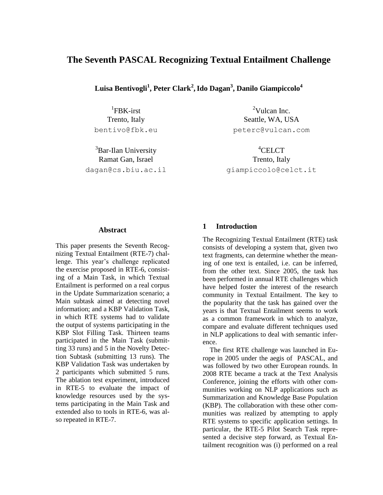# **The Seventh PASCAL Recognizing Textual Entailment Challenge**

**Luisa Bentivogli<sup>1</sup> , Peter Clark<sup>2</sup> ,Ido Dagan<sup>3</sup> , Danilo Giampiccolo<sup>4</sup>**

1 FBK-irst Trento, Italy bentivo@fbk.eu

<sup>3</sup>Bar-Ilan University Ramat Gan, Israel dagan@cs.biu.ac.il

<sup>2</sup>Vulcan Inc. Seattle, WA, USA peterc@vulcan.com

<sup>4</sup>CELCT Trento, Italy giampiccolo@celct.it

### **Abstract**

This paper presents the Seventh Recognizing Textual Entailment (RTE-7) challenge. This year's challenge replicated the exercise proposed in RTE-6, consisting of a Main Task, in which Textual Entailment is performed on a real corpus in the Update Summarization scenario; a Main subtask aimed at detecting novel information; and a KBP Validation Task, in which RTE systems had to validate the output of systems participating in the KBP Slot Filling Task. Thirteen teams participated in the Main Task (submitting 33 runs) and 5 in the Novelty Detection Subtask (submitting 13 runs). The KBP Validation Task was undertaken by 2 participants which submitted 5 runs. The ablation test experiment, introduced in RTE-5 to evaluate the impact of knowledge resources used by the systems participating in the Main Task and extended also to tools in RTE-6, was also repeated in RTE-7.

### **1 Introduction**

The Recognizing Textual Entailment (RTE) task consists of developing a system that, given two text fragments, can determine whether the meaning of one text is entailed, i.e. can be inferred, from the other text. Since 2005, the task has been performed in annual RTE challenges which have helped foster the interest of the research community in Textual Entailment. The key to the popularity that the task has gained over the years is that Textual Entailment seems to work as a common framework in which to analyze, compare and evaluate different techniques used in NLP applications to deal with semantic inference.

The first RTE challenge was launched in Europe in 2005 under the aegis of PASCAL, and was followed by two other European rounds. In 2008 RTE became a track at the Text Analysis Conference, joining the efforts with other communities working on NLP applications such as Summarization and Knowledge Base Population (KBP). The collaboration with these other communities was realized by attempting to apply RTE systems to specific application settings. In particular, the RTE-5 Pilot Search Task represented a decisive step forward, as Textual Entailment recognition was (i) performed on a real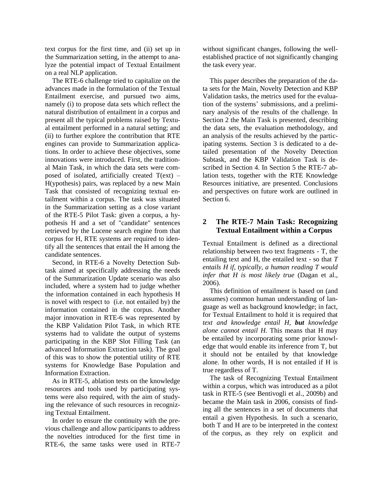text corpus for the first time, and (ii) set up in the Summarization setting, in the attempt to analyze the potential impact of Textual Entailment on a real NLP application.

The RTE-6 challenge tried to capitalize on the advances made in the formulation of the Textual Entailment exercise, and pursued two aims, namely (i) to propose data sets which reflect the natural distribution of entailment in a corpus and present all the typical problems raised by Textual entailment performed in a natural setting; and (ii) to further explore the contribution that RTE engines can provide to Summarization applications. In order to achieve these objectives, some innovations were introduced. First, the traditional Main Task, in which the data sets were composed of isolated, artificially created  $T(ext)$  – H(ypothesis) pairs, was replaced by a new Main Task that consisted of recognizing textual entailment within a corpus. The task was situated in the Summarization setting as a close variant of the RTE-5 Pilot Task: given a corpus, a hypothesis H and a set of "candidate" sentences retrieved by the Lucene search engine from that corpus for H, RTE systems are required to identify all the sentences that entail the H among the candidate sentences.

Second, in RTE-6 a Novelty Detection Subtask aimed at specifically addressing the needs of the Summarization Update scenario was also included, where a system had to judge whether the information contained in each hypothesis H is novel with respect to (i.e. not entailed by) the information contained in the corpus. Another major innovation in RTE-6 was represented by the KBP Validation Pilot Task, in which RTE systems had to validate the output of systems participating in the KBP Slot Filling Task (an advanced Information Extraction task). The goal of this was to show the potential utility of RTE systems for Knowledge Base Population and Information Extraction.

As in RTE-5, ablation tests on the knowledge resources and tools used by participating systems were also required, with the aim of studying the relevance of such resources in recognizing Textual Entailment.

In order to ensure the continuity with the previous challenge and allow participants to address the novelties introduced for the first time in RTE-6, the same tasks were used in RTE-7 without significant changes, following the wellestablished practice of not significantly changing the task every year.

This paper describes the preparation of the data sets for the Main, Novelty Detection and KBP Validation tasks, the metrics used for the evaluation of the systems' submissions, and a preliminary analysis of the results of the challenge. In Section 2 the Main Task is presented, describing the data sets, the evaluation methodology, and an analysis of the results achieved by the participating systems. Section 3 is dedicated to a detailed presentation of the Novelty Detection Subtask, and the KBP Validation Task is described in Section 4. In Section 5 the RTE-7 ablation tests, together with the RTE Knowledge Resources initiative, are presented. Conclusions and perspectives on future work are outlined in Section 6.

# **2 The RTE-7 Main Task: Recognizing Textual Entailment within a Corpus**

Textual Entailment is defined as a directional relationship between two text fragments - T, the entailing text and H, the entailed text - so that *T entails H if, typically, a human reading T would infer that H is most likely true* (Dagan et al., 2006).

This definition of entailment is based on (and assumes) common human understanding of language as well as background knowledge; in fact, for Textual Entailment to hold it is required that *text and knowledge entail H, but knowledge alone cannot entail H.* This means that H may be entailed by incorporating some prior knowledge that would enable its inference from T, but it should not be entailed by that knowledge alone. In other words, H is not entailed if H is true regardless of T.

The task of Recognizing Textual Entailment within a corpus, which was introduced as a pilot task in RTE-5 (see Bentivogli et al., 2009b) and became the Main task in 2006, consists of finding all the sentences in a set of documents that entail a given Hypothesis. In such a scenario, both T and H are to be interpreted in the context of the corpus, as they rely on explicit and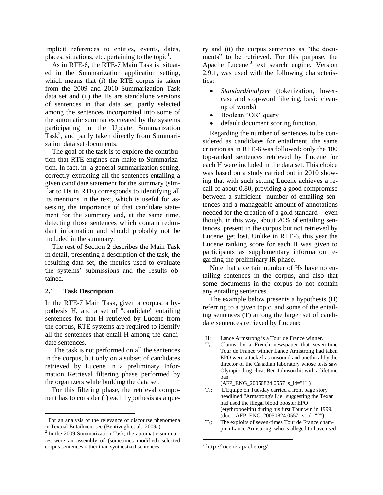implicit references to entities, events, dates, places, situations, etc. pertaining to the topic<sup>1</sup>.

As in RTE-6, the RTE-7 Main Task is situated in the Summarization application setting, which means that (i) the RTE corpus is taken from the 2009 and 2010 Summarization Task data set and (ii) the Hs are standalone versions of sentences in that data set, partly selected among the sentences incorporated into some of the automatic summaries created by the systems participating in the Update Summarization Task<sup>2</sup>, and partly taken directly from Summarization data set documents.

The goal of the task is to explore the contribution that RTE engines can make to Summarization. In fact, in a general summarization setting, correctly extracting all the sentences entailing a given candidate statement for the summary (similar to Hs in RTE) corresponds to identifying all its mentions in the text, which is useful for assessing the importance of that candidate statement for the summary and, at the same time, detecting those sentences which contain redundant information and should probably not be included in the summary.

The rest of Section 2 describes the Main Task in detail, presenting a description of the task, the resulting data set, the metrics used to evaluate the systems' submissions and the results obtained.

### **2.1 Task Description**

In the RTE-7 Main Task, given a corpus, a hypothesis H, and a set of "candidate" entailing sentences for that H retrieved by Lucene from the corpus, RTE systems are required to identify all the sentences that entail H among the candidate sentences.

The task is not performed on all the sentences in the corpus, but only on a subset of candidates retrieved by Lucene in a preliminary Information Retrieval filtering phase performed by the organizers while building the data set.

For this filtering phase, the retrieval component has to consider (i) each hypothesis as a query and (ii) the corpus sentences as "the documents" to be retrieved. For this purpose, the Apache Lucene<sup>3</sup> text search engine, Version 2.9.1, was used with the following characteristics:

- *StandardAnalyzer* (tokenization, lowercase and stop-word filtering, basic cleanup of words)
- Boolean "OR" query
- default document scoring function.

Regarding the number of sentences to be considered as candidates for entailment, the same criterion as in RTE-6 was followed: only the 100 top-ranked sentences retrieved by Lucene for each H were included in the data set. This choice was based on a study carried out in 2010 showing that with such setting Lucene achieves a recall of about 0.80, providing a good compromise between a sufficient number of entailing sentences and a manageable amount of annotations needed for the creation of a gold standard – even though, in this way, about 20% of entailing sentences, present in the corpus but not retrieved by Lucene, get lost. Unlike in RTE-6, this year the Lucene ranking score for each H was given to participants as supplementary information regarding the preliminary IR phase.

Note that a certain number of Hs have no entailing sentences in the corpus, and also that some documents in the corpus do not contain any entailing sentences.

The example below presents a hypothesis (H) referring to a given topic, and some of the entailing sentences (T) among the larger set of candidate sentences retrieved by Lucene:

- H: Lance Armstrong is a Tour de France winner.
- $T_1$ : : Claims by a French newspaper that seven-time Tour de France winner Lance Armstrong had taken EPO were attacked as unsound and unethical by the director of the Canadian laboratory whose tests saw Olympic drug cheat Ben Johnson hit with a lifetime ban.

(AFP\_ENG\_20050824.0557 s\_id="1" )

- $T_2$ : : L'Equipe on Tuesday carried a front page story headlined "Armstrong's Lie" suggesting the Texan had used the illegal blood booster EPO (erythropoeitin) during his first Tour win in 1999. (doc="AFP\_ENG\_20050824.0557" s\_id="2")
- $T_3$ : The exploits of seven-times Tour de France champion Lance Armstrong, who is alleged to have used

<sup>&</sup>lt;sup>1</sup> For an analysis of the relevance of discourse phenomena in Textual Entailment see (Bentivogli et al., 2009a).

<sup>&</sup>lt;sup>2</sup> In the 2009 Summarization Task, the automatic summaries were an assembly of (sometimes modified) selected corpus sentences rather than synthesized sentences.

<sup>&</sup>lt;sup>3</sup> http://lucene.apache.org/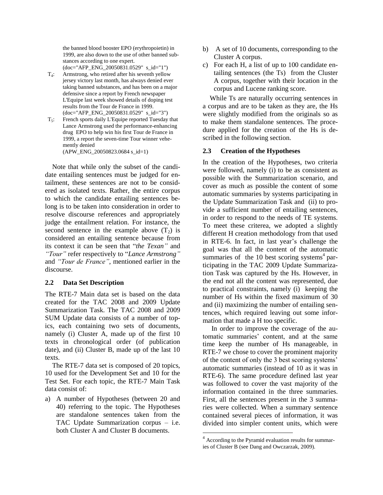the banned blood booster EPO (erythropoietin) in 1999, are also down to the use of other banned substances according to one expert. (doc="AFP\_ENG\_20050831.0529" s\_id="1")

- $T_{4}$ : : Armstrong, who retired after his seventh yellow jersey victory last month, has always denied ever taking banned substances, and has been on a major defensive since a report by French newspaper L'Equipe last week showed details of doping test results from the Tour de France in 1999. (doc="AFP\_ENG\_20050831.0529" s\_id="3")
- $T_5$ : : French sports daily L'Equipe reported Tuesday that Lance Armstrong used the performance-enhancing drug EPO to help win his first Tour de France in 1999, a report the seven-time Tour winner vehemently denied (APW\_ENG\_20050823.0684 s\_id=1)

Note that while only the subset of the candidate entailing sentences must be judged for entailment, these sentences are not to be considered as isolated texts. Rather, the entire corpus to which the candidate entailing sentences belong is to be taken into consideration in order to resolve discourse references and appropriately judge the entailment relation. For instance, the second sentence in the example above  $(T_2)$  is considered an entailing sentence because from its context it can be seen that "*the Texan"* and *"Tour"* refer respectively to "*Lance Armstrong"* and *"Tour de France"*, mentioned earlier in the discourse.

## **2.2 Data Set Description**

The RTE-7 Main data set is based on the data created for the TAC 2008 and 2009 Update Summarization Task. The TAC 2008 and 2009 SUM Update data consists of a number of topics, each containing two sets of documents, namely (i) Cluster A, made up of the first 10 texts in chronological order (of publication date), and (ii) Cluster B, made up of the last 10 texts.

The RTE-7 data set is composed of 20 topics, 10 used for the Development Set and 10 for the Test Set. For each topic, the RTE-7 Main Task data consist of:

a) A number of Hypotheses (between 20 and 40) referring to the topic. The Hypotheses are standalone sentences taken from the TAC Update Summarization corpus – i.e. both Cluster A and Cluster B documents.

- b) A set of 10 documents, corresponding to the Cluster A corpus.
- c) For each H, a list of up to 100 candidate entailing sentences (the Ts) from the Cluster A corpus, together with their location in the corpus and Lucene ranking score.

While Ts are naturally occurring sentences in a corpus and are to be taken as they are, the Hs were slightly modified from the originals so as to make them standalone sentences. The procedure applied for the creation of the Hs is described in the following section.

## **2.3 Creation of the Hypotheses**

In the creation of the Hypotheses, two criteria were followed, namely (i) to be as consistent as possible with the Summarization scenario, and cover as much as possible the content of some automatic summaries by systems participating in the Update Summarization Task and (ii) to provide a sufficient number of entailing sentences, in order to respond to the needs of TE systems. To meet these criterea, we adopted a slightly different H creation methodology from that used in RTE-6. In fact, in last year's challenge the goal was that all the content of the automatic summaries of the 10 best scoring systems<sup>4</sup> participating in the TAC 2009 Update Summarization Task was captured by the Hs. However, in the end not all the content was represented, due to practical constraints, namely (i) keeping the number of Hs within the fixed maximum of 30 and (ii) maximizing the number of entailing sentences, which required leaving out some information that made a H too specific.

In order to improve the coverage of the automatic summaries' content, and at the same time keep the number of Hs manageable, in RTE-7 we chose to cover the prominent majority of the content of only the 3 best scoring systems' automatic summaries (instead of 10 as it was in RTE-6). The same procedure defined last year was followed to cover the vast majority of the information contained in the three summaries. First, all the sentences present in the 3 summaries were collected. When a summary sentence contained several pieces of information, it was divided into simpler content units, which were

<sup>4</sup> According to the Pyramid evaluation results for summaries of Cluster B (see Dang and Owczarzak, 2009).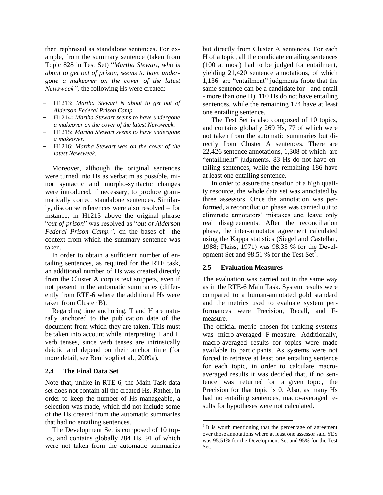then rephrased as standalone sentences. For example, from the summary sentence (taken from Topic 828 in Test Set) "*Martha Stewart, who is about to get out of prison, seems to have undergone a makeover on the cover of the latest Newsweek",* the following Hs were created:

- H1213: *Martha Stewart is about to get out of Alderson Federal Prison Camp.*
- H1214**:** *Martha Stewart seems to have undergone a makeover on the cover of the latest Newsweek.*
- H1215: *Martha Stewart seems to have undergone a makeover.*
- H1216: *Martha Stewart was on the cover of the latest Newsweek.*

Moreover, although the original sentences were turned into Hs as verbatim as possible, minor syntactic and morpho-syntactic changes were introduced, if necessary, to produce grammatically correct standalone sentences. Similarly, discourse references were also resolved – for instance, in H1213 above the original phrase "*out of prison*" was resolved as "*out of Alderson Federal Prison Camp.",* on the bases of the context from which the summary sentence was taken.

In order to obtain a sufficient number of entailing sentences, as required for the RTE task, an additional number of Hs was created directly from the Cluster A corpus text snippets, even if not present in the automatic summaries (differently from RTE-6 where the additional Hs were taken from Cluster B).

Regarding time anchoring, T and H are naturally anchored to the publication date of the document from which they are taken. This must be taken into account while interpreting T and H verb tenses, since verb tenses are intrinsically deictic and depend on their anchor time (for more detail, see Bentivogli et al., 2009a).

### **2.4 The Final Data Set**

Note that, unlike in RTE-6, the Main Task data set does not contain all the created Hs. Rather, in order to keep the number of Hs manageable, a selection was made, which did not include some of the Hs created from the automatic summaries that had no entailing sentences.

The Development Set is composed of 10 topics, and contains globally 284 Hs, 91 of which were not taken from the automatic summaries but directly from Cluster A sentences. For each H of a topic, all the candidate entailing sentences (100 at most) had to be judged for entailment, yielding 21,420 sentence annotations, of which 1,136 are "entailment" judgments (note that the same sentence can be a candidate for - and entail - more than one H). 110 Hs do not have entailing sentences, while the remaining 174 have at least one entailing sentence.

The Test Set is also composed of 10 topics, and contains globally 269 Hs, 77 of which were not taken from the automatic summaries but directly from Cluster A sentences. There are 22,426 sentence annotations, 1,308 of which are "entailment" judgments. 83 Hs do not have entailing sentences, while the remaining 186 have at least one entailing sentence.

In order to assure the creation of a high quality resource, the whole data set was annotated by three assessors. Once the annotation was performed, a reconciliation phase was carried out to eliminate annotators' mistakes and leave only real disagreements. After the reconciliation phase, the inter-annotator agreement calculated using the Kappa statistics (Siegel and Castellan, 1988; Fleiss, 1971) was 98.35 % for the Development Set and  $98.51$  % for the Test Set<sup>5</sup>.

## **2.5 Evaluation Measures**

The evaluation was carried out in the same way as in the RTE-6 Main Task. System results were compared to a human-annotated gold standard and the metrics used to evaluate system performances were Precision, Recall, and Fmeasure.

The official metric chosen for ranking systems was micro-averaged F-measure. Additionally, macro-averaged results for topics were made available to participants. As systems were not forced to retrieve at least one entailing sentence for each topic, in order to calculate macroaveraged results it was decided that, if no sentence was returned for a given topic, the Precision for that topic is 0. Also, as many Hs had no entailing sentences, macro-averaged results for hypotheses were not calculated.

 $<sup>5</sup>$  It is worth mentioning that the percentage of agreement</sup> over those annotations where at least one assessor said YES was 95.51% for the Development Set and 95% for the Test Set.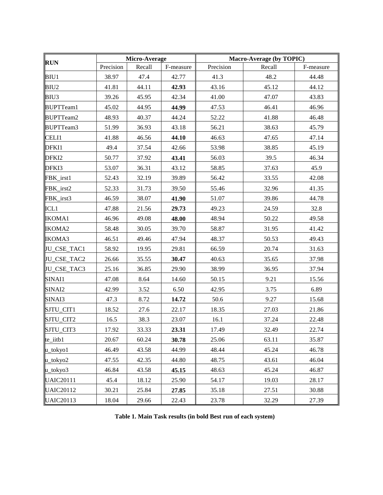| <b>RUN</b>        | Micro-Average |        |           | Macro-Average (by TOPIC) |        |           |  |  |
|-------------------|---------------|--------|-----------|--------------------------|--------|-----------|--|--|
|                   | Precision     | Recall | F-measure | Precision                | Recall | F-measure |  |  |
| BIU1              | 38.97         | 47.4   | 42.77     | 41.3                     | 48.2   | 44.48     |  |  |
| BIU <sub>2</sub>  | 41.81         | 44.11  | 42.93     | 43.16                    | 45.12  | 44.12     |  |  |
| BIU3              | 39.26         | 45.95  | 42.34     | 41.00                    | 47.07  | 43.83     |  |  |
| <b>BUPTTeam1</b>  | 45.02         | 44.95  | 44.99     | 47.53                    | 46.41  | 46.96     |  |  |
| <b>BUPTTeam2</b>  | 48.93         | 40.37  | 44.24     | 52.22                    | 41.88  | 46.48     |  |  |
| BUPTTeam3         | 51.99         | 36.93  | 43.18     | 56.21                    | 38.63  | 45.79     |  |  |
| CELI1             | 41.88         | 46.56  | 44.10     | 46.63                    | 47.65  | 47.14     |  |  |
| DFKI1             | 49.4          | 37.54  | 42.66     | 53.98                    | 38.85  | 45.19     |  |  |
| DFKI <sub>2</sub> | 50.77         | 37.92  | 43.41     | 56.03                    | 39.5   | 46.34     |  |  |
| DFKI3             | 53.07         | 36.31  | 43.12     | 58.85                    | 37.63  | 45.9      |  |  |
| FBK_irst1         | 52.43         | 32.19  | 39.89     | 56.42                    | 33.55  | 42.08     |  |  |
| FBK irst2         | 52.33         | 31.73  | 39.50     | 55.46                    | 32.96  | 41.35     |  |  |
| FBK_irst3         | 46.59         | 38.07  | 41.90     | 51.07                    | 39.86  | 44.78     |  |  |
| ICL1              | 47.88         | 21.56  | 29.73     | 49.23                    | 24.59  | 32.8      |  |  |
| <b>IKOMA1</b>     | 46.96         | 49.08  | 48.00     | 48.94                    | 50.22  | 49.58     |  |  |
| <b>IKOMA2</b>     | 58.48         | 30.05  | 39.70     | 58.87                    | 31.95  | 41.42     |  |  |
| <b>IKOMA3</b>     | 46.51         | 49.46  | 47.94     | 48.37                    | 50.53  | 49.43     |  |  |
| JU_CSE_TAC1       | 58.92         | 19.95  | 29.81     | 66.59                    | 20.74  | 31.63     |  |  |
| JU_CSE_TAC2       | 26.66         | 35.55  | 30.47     | 40.63                    | 35.65  | 37.98     |  |  |
| JU_CSE_TAC3       | 25.16         | 36.85  | 29.90     | 38.99                    | 36.95  | 37.94     |  |  |
| SINAI1            | 47.08         | 8.64   | 14.60     | 50.15                    | 9.21   | 15.56     |  |  |
| SINAI2            | 42.99         | 3.52   | 6.50      | 42.95                    | 3.75   | 6.89      |  |  |
| SINAI3            | 47.3          | 8.72   | 14.72     | 50.6                     | 9.27   | 15.68     |  |  |
| SJTU_CIT1         | 18.52         | 27.6   | 22.17     | 18.35                    | 27.03  | 21.86     |  |  |
| SJTU_CIT2         | 16.5          | 38.3   | 23.07     | 16.1                     | 37.24  | 22.48     |  |  |
| SJTU_CIT3         | 17.92         | 33.33  | 23.31     | 17.49                    | 32.49  | 22.74     |  |  |
| te_iitb1          | 20.67         | 60.24  | 30.78     | 25.06                    | 63.11  | 35.87     |  |  |
| u_tokyo1          | 46.49         | 43.58  | 44.99     | 48.44                    | 45.24  | 46.78     |  |  |
| u_tokyo2          | 47.55         | 42.35  | 44.80     | 48.75                    | 43.61  | 46.04     |  |  |
| u_tokyo3          | 46.84         | 43.58  | 45.15     | 48.63                    | 45.24  | 46.87     |  |  |
| <b>UAIC20111</b>  | 45.4          | 18.12  | 25.90     | 54.17                    | 19.03  | 28.17     |  |  |
| <b>UAIC20112</b>  | 30.21         | 25.84  | 27.85     | 35.18                    | 27.51  | 30.88     |  |  |
| <b>UAIC20113</b>  | 18.04         | 29.66  | 22.43     | 23.78                    | 32.29  | 27.39     |  |  |

**Table 1. Main Task results (in bold Best run of each system)**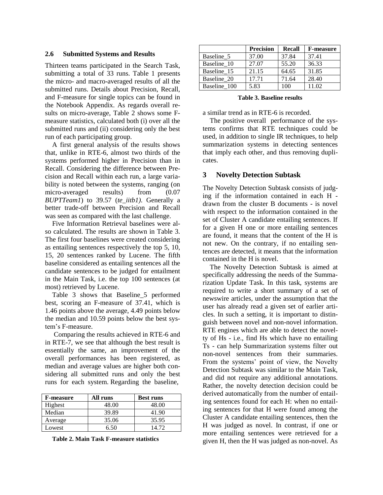### **2.6 Submitted Systems and Results**

Thirteen teams participated in the Search Task, submitting a total of 33 runs. Table 1 presents the micro- and macro-averaged results of all the submitted runs. Details about Precision, Recall, and F-measure for single topics can be found in the Notebook Appendix. As regards overall results on micro-average, Table 2 shows some Fmeasure statistics, calculated both (i) over all the submitted runs and (ii) considering only the best run of each participating group.

A first general analysis of the results shows that, unlike in RTE-6, almost two thirds of the systems performed higher in Precision than in Recall. Considering the difference between Precision and Recall within each run, a large variability is noted between the systems, ranging (on micro-averaged results) from (0.07 *BUPTTeam1*) to 39.57 (*te\_iitb1)*. Generally a better trade-off between Precision and Recall was seen as compared with the last challenge.

Five Information Retrieval baselines were also calculated. The results are shown in Table 3. The first four baselines were created considering as entailing sentences respectively the top 5, 10, 15, 20 sentences ranked by Lucene. The fifth baseline considered as entailing sentences all the candidate sentences to be judged for entailment in the Main Task, i.e. the top 100 sentences (at most) retrieved by Lucene.

Table 3 shows that Baseline\_5 performed best, scoring an F-measure of 37.41, which is 1.46 points above the average, 4.49 points below the median and 10.59 points below the best system's F-measure.

Comparing the results achieved in RTE-6 and in RTE-7, we see that although the best result is essentially the same, an improvement of the overall performances has been registered, as median and average values are higher both considering all submitted runs and only the best runs for each system. Regarding the baseline,

| <b>F-measure</b> | All runs | <b>Best runs</b> |
|------------------|----------|------------------|
| Highest          | 48.00    | 48.00            |
| Median           | 39.89    | 41.90            |
| Average          | 35.06    | 35.95            |
| Lowest           | 6 50     | 14 72            |

**Table 2. Main Task F-measure statistics**

|              | <b>Precision</b> | Recall | <b>F-measure</b> |
|--------------|------------------|--------|------------------|
| Baseline 5   | 37.00            | 37.84  | 37.41            |
| Baseline 10  | 27.07            | 55.20  | 36.33            |
| Baseline 15  | 21.15            | 64.65  | 31.85            |
| Baseline 20  | 17.71            | 71.64  | 28.40            |
| Baseline 100 | 5.83             | 100    | 11.02            |

**Table 3. Baseline results**

a similar trend as in RTE-6 is recorded.

The positive overall performance of the systems confirms that RTE techniques could be used, in addition to single IR techniques, to help summarization systems in detecting sentences that imply each other, and thus removing duplicates.

## **3 Novelty Detection Subtask**

The Novelty Detection Subtask consists of judging if the information contained in each H drawn from the cluster B documents - is novel with respect to the information contained in the set of Cluster A candidate entailing sentences. If for a given H one or more entailing sentences are found, it means that the content of the H is not new. On the contrary, if no entailing sentences are detected, it means that the information contained in the H is novel.

The Novelty Detection Subtask is aimed at specifically addressing the needs of the Summarization Update Task. In this task, systems are required to write a short summary of a set of newswire articles, under the assumption that the user has already read a given set of earlier articles. In such a setting, it is important to distinguish between novel and non-novel information. RTE engines which are able to detect the novelty of Hs - i.e., find Hs which have no entailing Ts - can help Summarization systems filter out non-novel sentences from their summaries. From the systems' point of view, the Novelty Detection Subtask was similar to the Main Task, and did not require any additional annotations. Rather, the novelty detection decision could be derived automatically from the number of entailing sentences found for each H: when no entailing sentences for that H were found among the Cluster A candidate entailing sentences, then the H was judged as novel. In contrast, if one or more entailing sentences were retrieved for a given H, then the H was judged as non-novel. As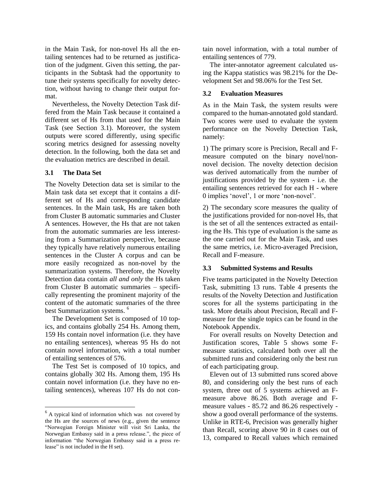in the Main Task, for non-novel Hs all the entailing sentences had to be returned as justification of the judgment. Given this setting, the participants in the Subtask had the opportunity to tune their systems specifically for novelty detection, without having to change their output format.

Nevertheless, the Novelty Detection Task differed from the Main Task because it contained a different set of Hs from that used for the Main Task (see Section 3.1). Moreover, the system outputs were scored differently, using specific scoring metrics designed for assessing novelty detection. In the following, both the data set and the evaluation metrics are described in detail.

### **3.1 The Data Set**

The Novelty Detection data set is similar to the Main task data set except that it contains a different set of Hs and corresponding candidate sentences. In the Main task, Hs are taken both from Cluster B automatic summaries and Cluster A sentences. However, the Hs that are not taken from the automatic summaries are less interesting from a Summarization perspective, because they typically have relatively numerous entailing sentences in the Cluster A corpus and can be more easily recognized as non-novel by the summarization systems. Therefore, the Novelty Detection data contain *all and only* the Hs taken from Cluster B automatic summaries – specifically representing the prominent majority of the content of the automatic summaries of the three best Summarization systems.<sup>6</sup>

The Development Set is composed of 10 topics, and contains globally 254 Hs. Among them, 159 Hs contain novel information (i.e. they have no entailing sentences), whereas 95 Hs do not contain novel information, with a total number of entailing sentences of 576.

The Test Set is composed of 10 topics, and contains globally 302 Hs. Among them, 195 Hs contain novel information (i.e. they have no entailing sentences), whereas 107 Hs do not con-

tain novel information, with a total number of entailing sentences of 779.

The inter-annotator agreement calculated using the Kappa statistics was 98.21% for the Development Set and 98.06% for the Test Set.

## **3.2 Evaluation Measures**

As in the Main Task, the system results were compared to the human-annotated gold standard. Two scores were used to evaluate the system performance on the Novelty Detection Task, namely:

1) The primary score is Precision, Recall and Fmeasure computed on the binary novel/nonnovel decision. The novelty detection decision was derived automatically from the number of justifications provided by the system - i.e. the entailing sentences retrieved for each H - where 0 implies 'novel', 1 or more 'non-novel'.

2) The secondary score measures the quality of the justifications provided for non-novel Hs, that is the set of all the sentences extracted as entailing the Hs. This type of evaluation is the same as the one carried out for the Main Task, and uses the same metrics, i.e. Micro-averaged Precision, Recall and F-measure.

# **3.3 Submitted Systems and Results**

Five teams participated in the Novelty Detection Task, submitting 13 runs. Table 4 presents the results of the Novelty Detection and Justification scores for all the systems participating in the task. More details about Precision, Recall and Fmeasure for the single topics can be found in the Notebook Appendix.

For overall results on Novelty Detection and Justification scores, Table 5 shows some Fmeasure statistics, calculated both over all the submitted runs and considering only the best run of each participating group.

Eleven out of 13 submitted runs scored above 80, and considering only the best runs of each system, three out of 5 systems achieved an Fmeasure above 86.26. Both average and Fmeasure values - 85.72 and 86.26 respectively show a good overall performance of the systems. Unlike in RTE-6, Precision was generally higher than Recall, scoring above 90 in 8 cases out of 13, compared to Recall values which remained

 $<sup>6</sup>$  A typical kind of information which was not covered by</sup> the Hs are the sources of news (e.g., given the sentence "Norwegian Foreign Minister will visit Sri Lanka, the Norwegian Embassy said in a press release.", the piece of information "the Norwegian Embassy said in a press release" is not included in the H set).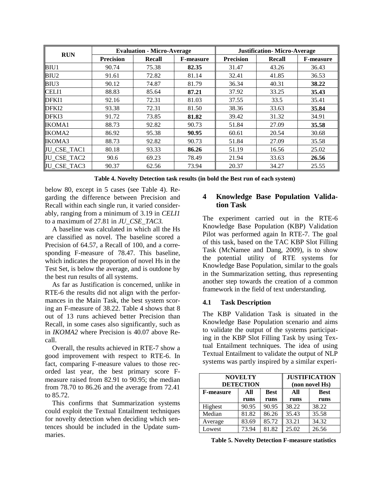| <b>RUN</b>        | <b>Evaluation - Micro-Average</b> |        |                  | <b>Justification-Micro-Average</b> |        |                  |  |
|-------------------|-----------------------------------|--------|------------------|------------------------------------|--------|------------------|--|
|                   | <b>Precision</b>                  | Recall | <b>F-measure</b> | <b>Precision</b>                   | Recall | <b>F-measure</b> |  |
| BIU1              | 90.74                             | 75.38  | 82.35            | 31.47                              | 43.26  | 36.43            |  |
| BIU <sub>2</sub>  | 91.61                             | 72.82  | 81.14            | 32.41                              | 41.85  | 36.53            |  |
| BIU3              | 90.12                             | 74.87  | 81.79            | 36.34                              | 40.31  | 38.22            |  |
| <b>CELI1</b>      | 88.83                             | 85.64  | 87.21            | 37.92                              | 33.25  | 35.43            |  |
| DFKI1             | 92.16                             | 72.31  | 81.03            | 37.55                              | 33.5   | 35.41            |  |
| DFKI <sub>2</sub> | 93.38                             | 72.31  | 81.50            | 38.36                              | 33.63  | 35.84            |  |
| DFKI3             | 91.72                             | 73.85  | 81.82            | 39.42                              | 31.32  | 34.91            |  |
| <b>IKOMA1</b>     | 88.73                             | 92.82  | 90.73            | 51.84                              | 27.09  | 35.58            |  |
| <b>IKOMA2</b>     | 86.92                             | 95.38  | 90.95            | 60.61                              | 20.54  | 30.68            |  |
| <b>IKOMA3</b>     | 88.73                             | 92.82  | 90.73            | 51.84                              | 27.09  | 35.58            |  |
| JU_CSE_TAC1       | 80.18                             | 93.33  | 86.26            | 51.19                              | 16.56  | 25.02            |  |
| JU_CSE_TAC2       | 90.6                              | 69.23  | 78.49            | 21.94                              | 33.63  | 26.56            |  |
| JU_CSE_TAC3       | 90.37                             | 62.56  | 73.94            | 20.37                              | 34.27  | 25.55            |  |

**Table 4. Novelty Detection task results (in bold the Best run of each system)**

below 80, except in 5 cases (see Table 4). Regarding the difference between Precision and Recall within each single run, it varied considerably, ranging from a minimum of 3.19 in *CELI1* to a maximum of 27.81 in *JU\_CSE\_TAC3.*

A baseline was calculated in which all the Hs are classified as novel. The baseline scored a Precision of 64.57, a Recall of 100, and a corresponding F-measure of 78.47. This baseline, which indicates the proportion of novel Hs in the Test Set, is below the average, and is outdone by the best run results of all systems.

As far as Justification is concerned, unlike in RTE-6 the results did not align with the performances in the Main Task, the best system scoring an F-measure of 38.22. Table 4 shows that 8 out of 13 runs achieved better Precision than Recall, in some cases also significantly, such as in *IKOMA2* where Precision is 40.07 above Recall.

Overall, the results achieved in RTE-7 show a good improvement with respect to RTE-6. In fact, comparing F-measure values to those recorded last year, the best primary score Fmeasure raised from 82.91 to 90.95; the median from 78.70 to 86.26 and the average from 72.41 to 85.72.

This confirms that Summarization systems could exploit the Textual Entailment techniques for novelty detection when deciding which sentences should be included in the Update summaries.

# **4 Knowledge Base Population Validation Task**

The experiment carried out in the RTE-6 Knowledge Base Population (KBP) Validation Pilot was performed again In RTE-7. The goal of this task, based on the TAC KBP Slot Filling Task (McNamee and Dang, 2009), is to show the potential utility of RTE systems for Knowledge Base Population, similar to the goals in the Summarization setting, thus representing another step towards the creation of a common framework in the field of text understanding.

# **4.1 Task Description**

The KBP Validation Task is situated in the Knowledge Base Population scenario and aims to validate the output of the systems participating in the KBP Slot Filling Task by using Textual Entailment techniques. The idea of using Textual Entailment to validate the output of NLP systems was partly inspired by a similar experi-

|                         | <b>NOVELTY</b><br><b>DETECTION</b> | <b>JUSTIFICATION</b><br>(non novel Hs) |       |             |  |
|-------------------------|------------------------------------|----------------------------------------|-------|-------------|--|
| All<br><b>F-measure</b> |                                    | <b>Best</b>                            | All   | <b>Best</b> |  |
|                         | runs                               | runs                                   | runs  | runs        |  |
| Highest                 | 90.95                              | 90.95                                  | 38.22 | 38.22       |  |
| Median                  | 81.82                              | 86.26                                  | 35.43 | 35.58       |  |
| Average                 | 83.69                              | 85.72                                  | 33.21 | 34.32       |  |
| Lowest                  | 73.94                              | 81.82                                  | 25.02 | 26.56       |  |

**Table 5. Novelty Detection F-measure statistics**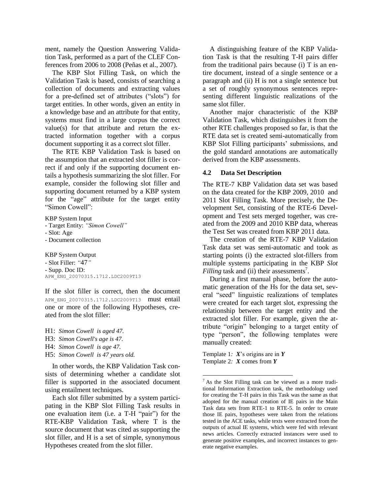ment, namely the Question Answering Validation Task, performed as a part of the CLEF Conferences from 2006 to 2008 (Peñas et al., 2007).

The KBP Slot Filling Task, on which the Validation Task is based, consists of searching a collection of documents and extracting values for a pre-defined set of attributes ("slots") for target entities. In other words, given an entity in a knowledge base and an attribute for that entity, systems must find in a large corpus the correct value(s) for that attribute and return the extracted information together with a corpus document supporting it as a correct slot filler.

The RTE KBP Validation Task is based on the assumption that an extracted slot filler is correct if and only if the supporting document entails a hypothesis summarizing the slot filler. For example, consider the following slot filler and supporting document returned by a KBP system for the "age" attribute for the target entity "Simon Cowell":

KBP System Input

- Target Entity: *"Simon Cowell"*

- Slot: Age

- Document collection

KBP System Output - Slot Filler: *"*47*"* - Supp. Doc ID: APW\_ENG\_20070315.1712.LDC2009T13

If the slot filler is correct, then the document APW ENG 20070315.1712.LDC2009T13 must entail one or more of the following Hypotheses, created from the slot filler:

- H1: *Simon Cowell is aged 47.*
- H3: *Simon Cowell's age is 47.*
- H4: *Simon Cowell is age 47.*
- H5: *Simon Cowell is 47 years old.*

In other words, the KBP Validation Task consists of determining whether a candidate slot filler is supported in the associated document using entailment techniques.

Each slot filler submitted by a system participating in the KBP Slot Filling Task results in one evaluation item (i.e. a T-H "pair") for the RTE-KBP Validation Task, where T is the source document that was cited as supporting the slot filler, and H is a set of simple, synonymous Hypotheses created from the slot filler.

A distinguishing feature of the KBP Validation Task is that the resulting T-H pairs differ from the traditional pairs because (i) T is an entire document, instead of a single sentence or a paragraph and (ii) H is not a single sentence but a set of roughly synonymous sentences representing different linguistic realizations of the same slot filler.

Another major characteristic of the KBP Validation Task, which distinguishes it from the other RTE challenges proposed so far, is that the RTE data set is created semi-automatically from KBP Slot Filling participants' submissions, and the gold standard annotations are automatically derived from the KBP assessments.

#### **4.2 Data Set Description**

The RTE-7 KBP Validation data set was based on the data created for the KBP 2009, 2010 and 2011 Slot Filling Task. More precisely, the Development Set, consisting of the RTE-6 Development and Test sets merged together, was created from the 2009 and 2010 KBP data, whereas the Test Set was created from KBP 2011 data.

The creation of the RTE-7 KBP Validation Task data set was semi-automatic and took as starting points (i) the extracted slot-fillers from multiple systems participating in the KBP *Slot Filling* task and (ii) their assessments<sup>7</sup>.

During a first manual phase, before the automatic generation of the Hs for the data set, several "seed" linguistic realizations of templates were created for each target slot, expressing the relationship between the target entity and the extracted slot filler. For example, given the attribute "origin" belonging to a target entity of type "person", the following templates were manually created:

Template 1*: X*'s origins are in *Y* Template 2*: X* comes from *Y*

<sup>7</sup> As the Slot Filling task can be viewed as a more traditional Information Extraction task, the methodology used for creating the T-H pairs in this Task was the same as that adopted for the manual creation of IE pairs in the Main Task data sets from RTE-1 to RTE-5. In order to create those IE pairs, hypotheses were taken from the relations tested in the ACE tasks, while texts were extracted from the outputs of actual IE systems, which were fed with relevant news articles. Correctly extracted instances were used to generate positive examples, and incorrect instances to generate negative examples.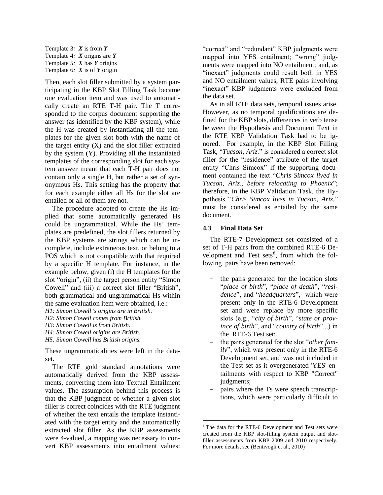Template 3*: X* is from *Y* Template 4*: X* origins are *Y* Template 5*: X* has *Y* origins Template 6*: X* is of *Y* origin

Then, each slot filler submitted by a system participating in the KBP Slot Filling Task became one evaluation item and was used to automatically create an RTE T-H pair. The T corresponded to the corpus document supporting the answer (as identified by the KBP system), while the H was created by instantiating all the templates for the given slot both with the name of the target entity  $(X)$  and the slot filler extracted by the system (Y). Providing all the instantiated templates of the corresponding slot for each system answer meant that each T-H pair does not contain only a single H, but rather a set of synonymous Hs. This setting has the property that for each example either all Hs for the slot are entailed or all of them are not.

The procedure adopted to create the Hs implied that some automatically generated Hs could be ungrammatical. While the Hs' templates are predefined, the slot fillers returned by the KBP systems are strings which can be incomplete, include extraneous text, or belong to a POS which is not compatible with that required by a specific H template. For instance, in the example below, given (i) the H templates for the slot "origin", (ii) the target person entity "Simon Cowell" and (iii) a correct slot filler "British", both grammatical and ungrammatical Hs within the same evaluation item were obtained, i.e.:

*H1: Simon Cowell 's origins are in British.*

*H2: Simon Cowell comes from British.*

*H3: Simon Cowell is from British.*

- *H4: Simon Cowell origins are British.*
- *H5: Simon Cowell has British origins.*

These ungrammaticalities were left in the dataset.

The RTE gold standard annotations were automatically derived from the KBP assessments, converting them into Textual Entailment values. The assumption behind this process is that the KBP judgment of whether a given slot filler is correct coincides with the RTE judgment of whether the text entails the template instantiated with the target entity and the automatically extracted slot filler. As the KBP assessments were 4-valued, a mapping was necessary to convert KBP assessments into entailment values: "correct" and "redundant" KBP judgments were mapped into YES entailment; "wrong" judgments were mapped into NO entailment; and, as "inexact" judgments could result both in YES and NO entailment values, RTE pairs involving "inexact" KBP judgments were excluded from the data set.

As in all RTE data sets, temporal issues arise. However, as no temporal qualifications are defined for the KBP slots, differences in verb tense between the Hypothesis and Document Text in the RTE KBP Validation Task had to be ignored. For example, in the KBP Slot Filling Task, "*Tucson, Ariz.*" is considered a correct slot filler for the "residence" attribute of the target entity "Chris Simcox" if the supporting document contained the text "*Chris Simcox lived in Tucson, Ariz., before relocating to Phoenix*"; therefore, in the KBP Validation Task, the Hypothesis "*Chris Simcox lives in Tucson, Ariz.*" must be considered as entailed by the same document.

### **4.3 Final Data Set**

The RTE-7 Development set consisted of a set of T-H pairs from the combined RTE-6 Development and Test sets<sup>8</sup>, from which the following pairs have been removed:

- the pairs generated for the location slots "*place of birth*", "*place of death*", "*residence*", and "*headquarters*", which were present only in the RTE-6 Development set and were replace by more specific slots (e.g., "*city of birth*", "*state or province of birth*", and "*country of birth*"...) in the RTE-6 Test set;
- the pairs generated for the slot "other fam*ily*", which was present only in the RTE-6 Development set, and was not included in the Test set as it overgenerated 'YES' entailments with respect to KBP "Correct" judgments;
- pairs where the Ts were speech transcriptions, which were particularly difficult to

<sup>&</sup>lt;sup>8</sup> The data for the RTE-6 Development and Test sets were created from the KBP slot-filling system output and slotfiller assessments from KBP 2009 and 2010 respectively. For more details, see (Bentivogli et al., 2010)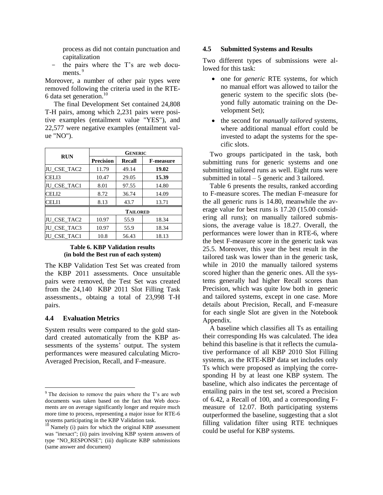process as did not contain punctuation and capitalization

the pairs where the T's are web documents.<sup>9</sup>

Moreover, a number of other pair types were removed following the criteria used in the RTE-6 data set generation. 10

The final Development Set contained 24,808 T-H pairs, among which 2,231 pairs were positive examples (entailment value "YES"), and 22,577 were negative examples (entailment value "NO").

|                     |                  | <b>GENERIC</b>  |                  |  |  |  |  |
|---------------------|------------------|-----------------|------------------|--|--|--|--|
| <b>RUN</b>          | <b>Precision</b> | <b>Recall</b>   | <b>F-measure</b> |  |  |  |  |
| JU_CSE_TAC2         | 11.79            | 49.14           | 19.02            |  |  |  |  |
| CELI3               | 10.47            | 29.05           | 15.39            |  |  |  |  |
| JU_CSE_TAC1         | 8.01             | 97.55           | 14.80            |  |  |  |  |
| CELI2               | 8.72             | 36.74           | 14.09            |  |  |  |  |
| CELI1               | 8.13             | 43.7            | 13.71            |  |  |  |  |
|                     |                  | <b>TAILORED</b> |                  |  |  |  |  |
| JU_CSE_TAC2         | 10.97            | 55.9            | 18.34            |  |  |  |  |
| JU_CSE_TAC3         | 10.97            | 55.9            | 18.34            |  |  |  |  |
| JU_CSE_TAC1<br>10.8 |                  | 56.43           | 18.13            |  |  |  |  |

## **Table 6. KBP Validation results (in bold the Best run of each system)**

The KBP Validation Test Set was created from the KBP 2011 assessments. Once unsuitable pairs were removed, the Test Set was created from the 24,140 KBP 2011 Slot Filling Task assessments., obtaing a total of 23,998 T-H pairs.

### **4.4 Evaluation Metrics**

System results were compared to the gold standard created automatically from the KBP assessments of the systems' output. The system performances were measured calculating Micro-Averaged Precision, Recall, and F-measure.

### **4.5 Submitted Systems and Results**

Two different types of submissions were allowed for this task:

- one for *generic* RTE systems, for which no manual effort was allowed to tailor the generic system to the specific slots (beyond fully automatic training on the Development Set);
- the second for *manually tailored* systems, where additional manual effort could be invested to adapt the systems for the specific slots.

Two groups participated in the task, both submitting runs for generic systems and one submitting tailored runs as well. Eight runs were submitted in total  $-5$  generic and 3 tailored.

Table 6 presents the results, ranked according to F-measure scores. The median F-measure for the all generic runs is 14.80, meanwhile the average value for best runs is 17.20 (15.00 considering all runs); on manually tailored submissions, the average value is 18.27. Overall, the performances were lower than in RTE-6, where the best F-measure score in the generic task was 25.5. Moreover, this year the best result in the tailored task was lower than in the generic task, while in 2010 the manually tailored systems scored higher than the generic ones. All the systems generally had higher Recall scores than Precision, which was quite low both in generic and tailored systems, except in one case. More details about Precision, Recall, and F-measure for each single Slot are given in the Notebook Appendix.

A baseline which classifies all Ts as entailing their corresponding Hs was calculated. The idea behind this baseline is that it reflects the cumulative performance of all KBP 2010 Slot Filling systems, as the RTE-KBP data set includes only Ts which were proposed as implying the corresponding H by at least one KBP system. The baseline, which also indicates the percentage of entailing pairs in the test set, scored a Precision of 6.42, a Recall of 100, and a corresponding Fmeasure of 12.07. Both participating systems outperformed the baseline, suggesting that a slot filling validation filter using RTE techniques could be useful for KBP systems.

 $9<sup>9</sup>$  The decision to remove the pairs where the T's are web documents was taken based on the fact that Web documents are on average significantly longer and require much more time to process, representing a major issue for RTE-6 systems participating in the KBP Validation task.

 $10$  Namely (i) pairs for which the original KBP assessment was "inexact"; (ii) pairs involving KBP system answers of type "NO\_RESPONSE"; (iii) duplicate KBP submissions (same answer and document)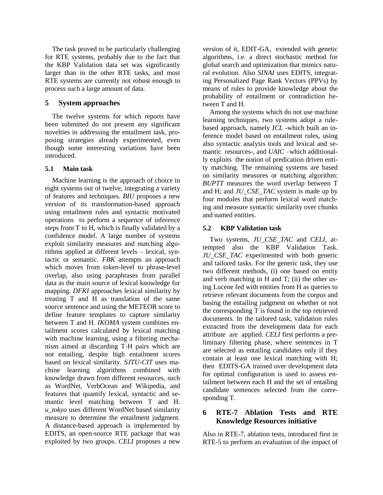The task proved to be particularly challenging for RTE systems, probably due to the fact that the KBP Validation data set was significantly larger than in the other RTE tasks, and most RTE systems are currently not robust enough to process such a large amount of data.

# **5 System approaches**

The twelve systems for which reports have been submitted do not present any significant novelties in addressing the entailment task, proposing strategies already experimented, even though some interesting variations have been introduced.

## **5.1 Main task**

Machine learning is the approach of choice in eight systems out of twelve, integrating a variety of features and techniques. *BIU* proposes a new version of its transformation-based approach using entailment rules and syntactic motivated operations to perform a sequence of inference steps from T to H, which is finally validated by a confidence model. A large number of systems exploit similarity measures and matching algorithms applied at different levels – lexical, syntactic or semantic. *FBK* attempts an approach which moves from token-level to phrase-level overlap, also using paraphrases from parallel data as the main source of lexical knowledge for mapping. *DFKI* approaches lexical similarity by treating T and H as translation of the same source sentence and using the METEOR score to define feature templates to capture similarity between T and H. *IKOMA* system combines entailment scores calculated by lexical matching with machine learning, using a filtering mechanism aimed at discarding T-H pairs which are not entailing, despite high entailment scores based on lexical similarity. *SJTU-CIT* uses machine learning algorithms combined with knowledge drawn from different resources, such as WordNet, VerbOcean and Wikipedia, and features that quantify lexical, syntactic and semantic level matching between T and H. *u\_tokyo* uses different WordNet based similarity measure to determine the entailment judgment. A distance-based approach is implemented by EDITS, an open-source RTE package that was exploited by two groups. *CELI* proposes a new version of it, EDIT-GA, extended with genetic algorithms, i.e. a direct stochastic method for global search and optimization that mimics natural evolution. Also *SINAI* uses EDITS, integrating Personalized Page Rank Vectors (PPVs) by means of rules to provide knowledge about the probability of entailment or contradiction between T and H.

Among the systems which do not use machine learning techniques, two systems adopt a rulebased approach, namely *ICL* -which built an inference model based on entailment rules, using also syntactic analysis tools and lexical and semantic resources-, and *UAIC* –which additionally exploits the notion of predication driven entity matching. The remaining systems are based on similarity measures or matching algorithm: *BUPTT* measures the word overlap between T and H; and *JU\_CSE\_TAC* system is made up by four modules that perform lexical word matching and measure syntactic similarity over chunks and named entities.

## **5.2 KBP Validation task**

Two systems, *JU\_CSE\_TAC* and *CELI*, attempted also the KBP Validation Task. *JU\_CSE\_TAC* experimented with both generic and tailored tasks. For the generic task, they use two different methods, (i) one based on entity and verb matching in  $H$  and  $T$ ; (ii) the other using Lucene fed with entities from H as queries to retrieve relevant documents from the corpus and basing the entailing judgment on whether or not the corresponding T is found in the top retrieved documents. In the tailored task, validation rules extracted from the development data for each attribute are applied. *CELI* first performs a preliminary filtering phase, where sentences in T are selected as entailing candidates only if they contain at least one lexical matching with H; then EDITS-GA trained over development data for optimal configuration is used to assess entailment between each H and the set of entailing candidate sentences selected from the corresponding T.

# **6 RTE-7 Ablation Tests and RTE Knowledge Resources initiative**

Also in RTE-7, ablation tests, introduced first in RTE-5 to perform an evaluation of the impact of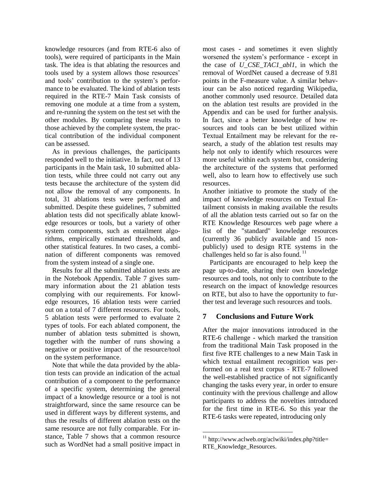knowledge resources (and from RTE-6 also of tools), were required of participants in the Main task. The idea is that ablating the resources and tools used by a system allows those resources' and tools' contribution to the system's performance to be evaluated. The kind of ablation tests required in the RTE-7 Main Task consists of removing one module at a time from a system, and re-running the system on the test set with the other modules. By comparing these results to those achieved by the complete system, the practical contribution of the individual component can be assessed.

As in previous challenges, the participants responded well to the initiative. In fact, out of 13 participants in the Main task, 10 submitted ablation tests, while three could not carry out any tests because the architecture of the system did not allow the removal of any components. In total, 31 ablations tests were performed and submitted. Despite these guidelines, 7 submitted ablation tests did not specifically ablate knowledge resources or tools, but a variety of other system components, such as entailment algorithms, empirically estimated thresholds, and other statistical features. In two cases, a combination of different components was removed from the system instead of a single one.

Results for all the submitted ablation tests are in the Notebook Appendix. Table 7 gives summary information about the 21 ablation tests complying with our requirements. For knowledge resources, 16 ablation tests were carried out on a total of 7 different resources. For tools, 5 ablation tests were performed to evaluate 2 types of tools. For each ablated component, the number of ablation tests submitted is shown, together with the number of runs showing a negative or positive impact of the resource/tool on the system performance.

Note that while the data provided by the ablation tests can provide an indication of the actual contribution of a component to the performance of a specific system, determining the general impact of a knowledge resource or a tool is not straightforward, since the same resource can be used in different ways by different systems, and thus the results of different ablation tests on the same resource are not fully comparable. For instance, Table 7 shows that a common resource such as WordNet had a small positive impact in most cases - and sometimes it even slightly worsened the system's performance - except in the case of *U\_CSE\_TAC1\_abl1*, in which the removal of WordNet caused a decrease of 9.81 points in the F-measure value. A similar behaviour can be also noticed regarding Wikipedia, another commonly used resource. Detailed data on the ablation test results are provided in the Appendix and can be used for further analysis. In fact, since a better knowledge of how resources and tools can be best utilized within Textual Entailment may be relevant for the research, a study of the ablation test results may help not only to identify which resources were more useful within each system but, considering the architecture of the systems that performed well, also to learn how to effectively use such resources.

Another initiative to promote the study of the impact of knowledge resources on Textual Entailment consists in making available the results of all the ablation tests carried out so far on the RTE Knowledge Resources web page where a list of the "standard" knowledge resources (currently 36 publicly available and 15 nonpublicly) used to design RTE systems in the challenges held so far is also found.<sup>11</sup>

Participants are encouraged to help keep the page up-to-date, sharing their own knowledge resources and tools, not only to contribute to the research on the impact of knowledge resources on RTE, but also to have the opportunity to further test and leverage such resources and tools.

## **7 Conclusions and Future Work**

After the major innovations introduced in the RTE-6 challenge - which marked the transition from the traditional Main Task proposed in the first five RTE challenges to a new Main Task in which textual entailment recognition was performed on a real text corpus - RTE-7 followed the well-established practice of not significantly changing the tasks every year, in order to ensure continuity with the previous challenge and allow participants to address the novelties introduced for the first time in RTE-6. So this year the RTE-6 tasks were repeated, introducing only

 $11$  http://www.aclweb.org/aclwiki/index.php?title= RTE\_Knowledge\_Resources.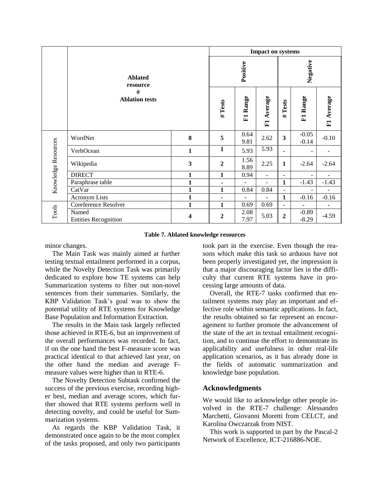|                                                   |                                      | <b>Impact on systems</b> |                  |                |                          |                         |                          |                          |  |  |
|---------------------------------------------------|--------------------------------------|--------------------------|------------------|----------------|--------------------------|-------------------------|--------------------------|--------------------------|--|--|
|                                                   | <b>Ablated</b><br>resource           |                          |                  | Positive       |                          |                         |                          | Negative                 |  |  |
|                                                   | #<br><b>Ablation tests</b>           |                          | # Tests          | Range<br>F1    | F1 Average               | Tests<br>#              | Range<br>$F_{\rm I}$     | F1 Average               |  |  |
|                                                   | WordNet                              | 8                        | 5                | 0.64<br>9.81   | 2.62                     | $\overline{\mathbf{3}}$ | $-0.05$<br>$-0.14$       | $-0.10$                  |  |  |
|                                                   | VerbOcean                            | $\mathbf{1}$             | $\mathbf{1}$     | 5.93           | 5.93                     | ۰                       | $\overline{\phantom{a}}$ |                          |  |  |
|                                                   | Wikipedia                            | 3                        | $\mathbf{2}$     | 1.56<br>8.89   | 2.25                     | $\mathbf{1}$            | $-2.64$                  | $-2.64$                  |  |  |
|                                                   | <b>DIRECT</b>                        | 1                        | $\mathbf{1}$     | 0.94           | $\overline{\phantom{a}}$ | ۰                       | $\blacksquare$           | $\overline{\phantom{a}}$ |  |  |
| Knowledge Resources<br>Paraphrase table<br>CatVar |                                      | 1                        | ٠                | $\blacksquare$ | $\equiv$                 | $\mathbf{1}$            | $-1.43$                  | $-1.43$                  |  |  |
|                                                   |                                      | 1                        | $\mathbf{1}$     | 0.84           | 0.84                     | ٠                       |                          | ÷,                       |  |  |
|                                                   | <b>Acronym Lists</b>                 | 1                        | ٠                | $\blacksquare$ | $\blacksquare$           | $\mathbf{1}$            | $-0.16$                  | $-0.16$                  |  |  |
|                                                   | Coreference Resolver                 | 1                        | $\mathbf{1}$     | 0.69           | 0.69                     | ٠                       | $\blacksquare$           |                          |  |  |
| Tools                                             | Named<br><b>Entities Recognition</b> | 4                        | $\boldsymbol{2}$ | 2.08<br>7.97   | 5.03                     | $\mathbf{2}$            | $-0.89$<br>$-8.29$       | $-4.59$                  |  |  |

**Table 7. Ablated knowledge resources**

minor changes.

The Main Task was mainly aimed at further testing textual entailment performed in a corpus, while the Novelty Detection Task was primarily dedicated to explore how TE systems can help Summarization systems to filter out non-novel sentences from their summaries. Similarly, the KBP Validation Task's goal was to show the potential utility of RTE systems for Knowledge Base Population and Information Extraction.

The results in the Main task largely reflected those achieved in RTE-6, but an improvement of the overall performances was recorded. In fact, if on the one hand the best F-measure score was practical identical to that achieved last year, on the other hand the median and average Fmeasure values were higher than in RTE-6.

The Novelty Detection Subtask confirmed the success of the previous exercise, recording higher best, median and average scores, which further showed that RTE systems perform well in detecting novelty, and could be useful for Summarization systems.

As regards the KBP Validation Task, it demonstrated once again to be the most complex of the tasks proposed, and only two participants

took part in the exercise. Even though the reasons which make this task so arduous have not been properly investigated yet, the impression is that a major discouraging factor lies in the difficulty that current RTE systems have in processing large amounts of data.

Overall, the RTE-7 tasks confirmed that entailment systems may play an important and effective role within semantic applications. In fact, the results obtained so far represent an encouragement to further promote the advancement of the state of the art in textual entailment recognition, and to continue the effort to demonstrate its applicability and usefulness in other real-life application scenarios, as it has already done in the fields of automatic summarization and knowledge base population.

## **Acknowledgments**

We would like to acknowledge other people involved in the RTE-7 challenge: Alessandro Marchetti, Giovanni Moretti from CELCT, and Karolina Owczarzak from NIST.

This work is supported in part by the Pascal-2 Network of Excellence, ICT-216886-NOE.